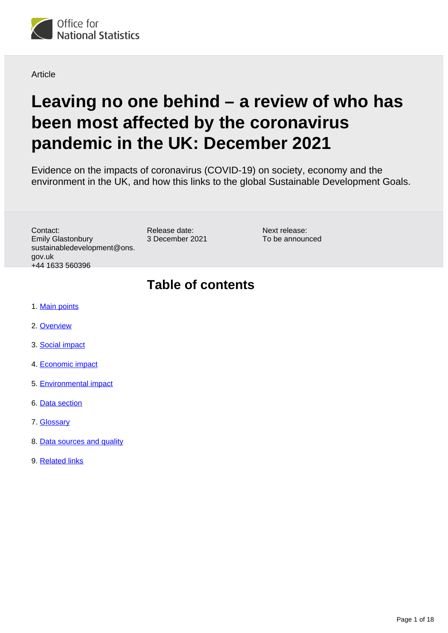

**Article** 

# **Leaving no one behind – a review of who has been most affected by the coronavirus pandemic in the UK: December 2021**

Evidence on the impacts of coronavirus (COVID-19) on society, economy and the environment in the UK, and how this links to the global Sustainable Development Goals.

Contact: Emily Glastonbury sustainabledevelopment@ons. gov.uk +44 1633 560396

Release date: 3 December 2021 Next release: To be announced

## **Table of contents**

- 1. [Main points](#page-1-0)
- 2. [Overview](#page-1-1)
- 3. [Social impact](#page-2-0)
- 4. [Economic impact](#page-8-0)
- 5. [Environmental impact](#page-11-0)
- 6. [Data section](#page-14-0)
- 7. [Glossary](#page-14-1)
- 8. [Data sources and quality](#page-16-0)
- 9. [Related links](#page-17-0)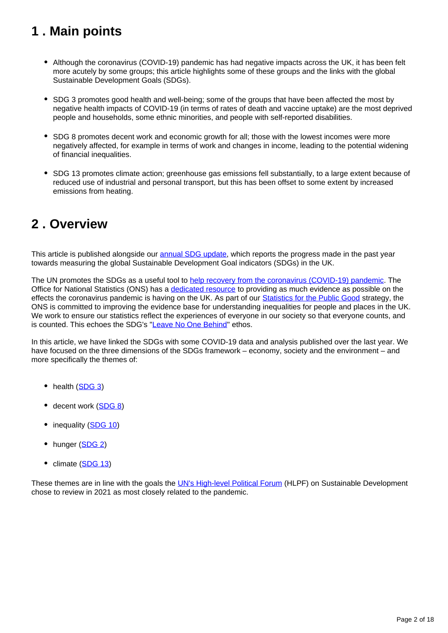## <span id="page-1-0"></span>**1 . Main points**

- Although the coronavirus (COVID-19) pandemic has had negative impacts across the UK, it has been felt more acutely by some groups; this article highlights some of these groups and the links with the global Sustainable Development Goals (SDGs).
- SDG 3 promotes good health and well-being; some of the groups that have been affected the most by negative health impacts of COVID-19 (in terms of rates of death and vaccine uptake) are the most deprived people and households, some ethnic minorities, and people with self-reported disabilities.
- SDG 8 promotes decent work and economic growth for all; those with the lowest incomes were more negatively affected, for example in terms of work and changes in income, leading to the potential widening of financial inequalities.
- SDG 13 promotes climate action; greenhouse gas emissions fell substantially, to a large extent because of reduced use of industrial and personal transport, but this has been offset to some extent by increased emissions from heating.

## <span id="page-1-1"></span>**2 . Overview**

This article is published alongside our **annual SDG** update, which reports the progress made in the past year towards measuring the global Sustainable Development Goal indicators (SDGs) in the UK.

The UN promotes the SDGs as a useful tool to [help recovery from the coronavirus \(COVID-19\) pandemic](https://www.un.org/sustainabledevelopment/sdgs-framework-for-covid-19-recovery/). The Office for National Statistics (ONS) has a [dedicated resource](https://www.ons.gov.uk/peoplepopulationandcommunity/healthandsocialcare/conditionsanddiseases) to providing as much evidence as possible on the effects the coronavirus pandemic is having on the UK. As part of our [Statistics for the Public Good](https://uksa.statisticsauthority.gov.uk/statistics-for-the-public-good/) strategy, the ONS is committed to improving the evidence base for understanding inequalities for people and places in the UK. We work to ensure our statistics reflect the experiences of everyone in our society so that everyone counts, and is counted. This echoes the SDG's "[Leave No One Behind"](https://unsdg.un.org/2030-agenda/universal-values/leave-no-one-behind) ethos.

In this article, we have linked the SDGs with some COVID-19 data and analysis published over the last year. We have focused on the three dimensions of the SDGs framework – economy, society and the environment – and more specifically the themes of:

- health [\(SDG 3\)](https://sdgdata.gov.uk/3/)
- decent work [\(SDG 8\)](https://sdgdata.gov.uk/8/)
- inequality ([SDG 10\)](https://sdgdata.gov.uk/10/)
- hunger [\(SDG 2\)](https://sdgdata.gov.uk/2/)
- climate ([SDG 13\)](https://sdgdata.gov.uk/13/)

These themes are in line with the goals the [UN's High-level Political Forum](https://sustainabledevelopment.un.org/hlpf/2021) (HLPF) on Sustainable Development chose to review in 2021 as most closely related to the pandemic.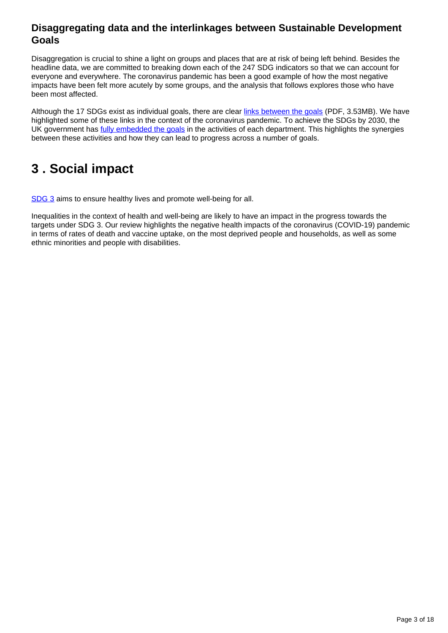### **Disaggregating data and the interlinkages between Sustainable Development Goals**

Disaggregation is crucial to shine a light on groups and places that are at risk of being left behind. Besides the headline data, we are committed to breaking down each of the 247 SDG indicators so that we can account for everyone and everywhere. The coronavirus pandemic has been a good example of how the most negative impacts have been felt more acutely by some groups, and the analysis that follows explores those who have been most affected.

Although the 17 SDGs exist as individual goals, there are clear [links between the goals](https://unstats.un.org/unsd/statcom/51st-session/documents/BG-Item3a-Interlinkages-Workstream-E.pdf) (PDF, 3.53MB). We have highlighted some of these links in the context of the coronavirus pandemic. To achieve the SDGs by 2030, the UK government has *fully embedded the goals* in the activities of each department. This highlights the synergies between these activities and how they can lead to progress across a number of goals.

## <span id="page-2-0"></span>**3 . Social impact**

[SDG 3](https://sdgdata.gov.uk/3/) aims to ensure healthy lives and promote well-being for all.

Inequalities in the context of health and well-being are likely to have an impact in the progress towards the targets under SDG 3. Our review highlights the negative health impacts of the coronavirus (COVID-19) pandemic in terms of rates of death and vaccine uptake, on the most deprived people and households, as well as some ethnic minorities and people with disabilities.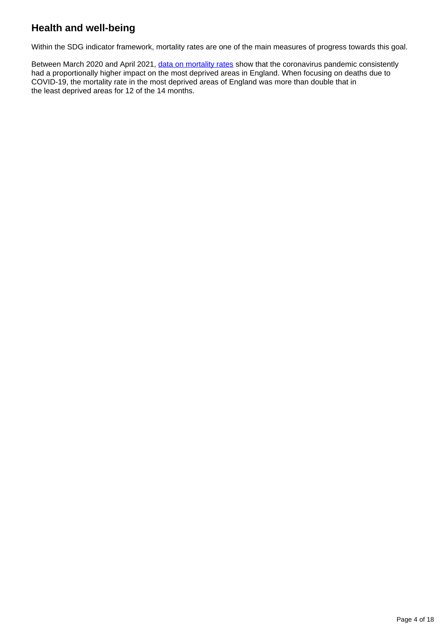## **Health and well-being**

Within the SDG indicator framework, mortality rates are one of the main measures of progress towards this goal.

Between March 2020 and April 2021, [data on mortality rates](https://www.ons.gov.uk/peoplepopulationandcommunity/birthsdeathsandmarriages/deaths/datasets/deathsduetocovid19bylocalareaanddeprivation) show that the coronavirus pandemic consistently had a proportionally higher impact on the most deprived areas in England. When focusing on deaths due to COVID-19, the mortality rate in the most deprived areas of England was more than double that in the least deprived areas for 12 of the 14 months.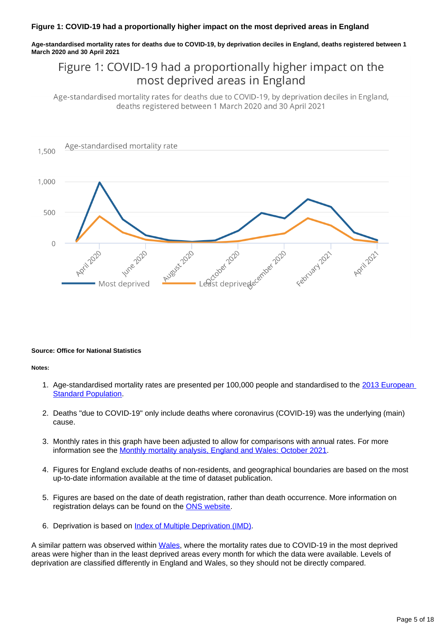**Age-standardised mortality rates for deaths due to COVID-19, by deprivation deciles in England, deaths registered between 1 March 2020 and 30 April 2021**

## Figure 1: COVID-19 had a proportionally higher impact on the most deprived areas in England

Age-standardised mortality rates for deaths due to COVID-19, by deprivation deciles in England, deaths registered between 1 March 2020 and 30 April 2021



#### **Source: Office for National Statistics**

#### **Notes:**

- 1. Age-standardised mortality rates are presented per 100,000 people and standardised to the 2013 European **[Standard Population](https://webarchive.nationalarchives.gov.uk/ukgwa/20160106020035/http:/www.ons.gov.uk/ons/guide-method/user-guidance/health-and-life-events/revised-european-standard-population-2013--2013-esp-/index.html).**
- 2. Deaths "due to COVID-19" only include deaths where coronavirus (COVID-19) was the underlying (main) cause.
- 3. Monthly rates in this graph have been adjusted to allow for comparisons with annual rates. For more information see the [Monthly mortality analysis, England and Wales: October 2021](https://www.ons.gov.uk/peoplepopulationandcommunity/birthsdeathsandmarriages/deaths/bulletins/monthlymortalityanalysisenglandandwales/october2021#measuring-the-data).
- 4. Figures for England exclude deaths of non-residents, and geographical boundaries are based on the most up-to-date information available at the time of dataset publication.
- 5. Figures are based on the date of death registration, rather than death occurrence. More information on registration delays can be found on the [ONS website](https://www.ons.gov.uk/peoplepopulationandcommunity/birthsdeathsandmarriages/deaths/articles/impactofregistrationdelaysonmortalitystatisticsinenglandandwales/2019).
- 6. Deprivation is based on *[Index of Multiple Deprivation \(IMD\)](https://www.gov.uk/government/statistics/english-indices-of-deprivation-2019)*.

A similar pattern was observed within [Wales](https://www.ons.gov.uk/peoplepopulationandcommunity/birthsdeathsandmarriages/deaths/datasets/deathsduetocovid19bylocalareaanddeprivation), where the mortality rates due to COVID-19 in the most deprived areas were higher than in the least deprived areas every month for which the data were available. Levels of deprivation are classified differently in England and Wales, so they should not be directly compared.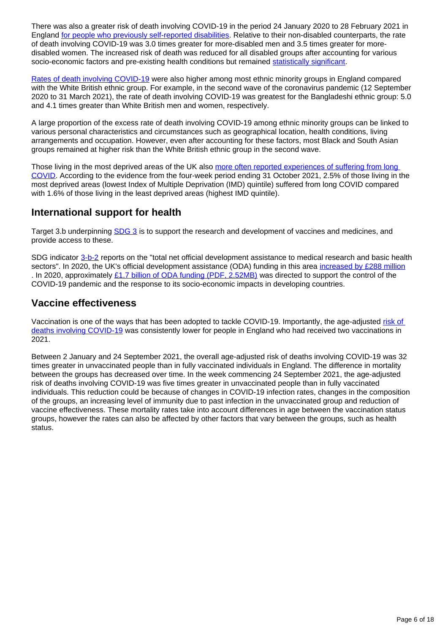There was also a greater risk of death involving COVID-19 in the period 24 January 2020 to 28 February 2021 in England [for people who previously self-reported disabilities.](https://www.ons.gov.uk/peoplepopulationandcommunity/birthsdeathsandmarriages/deaths/adhocs/13532updatedestimatesofcoronaviruscovid19relateddeathsbypandemicwaveanddisabilitystatusengland24januaryto28february2021) Relative to their non-disabled counterparts, the rate of death involving COVID-19 was 3.0 times greater for more-disabled men and 3.5 times greater for moredisabled women. The increased risk of death was reduced for all disabled groups after accounting for various socio-economic factors and pre-existing health conditions but remained [statistically significant.](https://www.ons.gov.uk/methodology/methodologytopicsandstatisticalconcepts/uncertaintyandhowwemeasureit#statistical-significance)

[Rates of death involving COVID-19](https://www.ons.gov.uk/peoplepopulationandcommunity/birthsdeathsandmarriages/deaths/articles/updatingethniccontrastsindeathsinvolvingthecoronaviruscovid19englandandwales/24january2020to31march2021) were also higher among most ethnic minority groups in England compared with the White British ethnic group. For example, in the second wave of the coronavirus pandemic (12 September 2020 to 31 March 2021), the rate of death involving COVID-19 was greatest for the Bangladeshi ethnic group: 5.0 and 4.1 times greater than White British men and women, respectively.

A large proportion of the excess rate of death involving COVID-19 among ethnic minority groups can be linked to various personal characteristics and circumstances such as geographical location, health conditions, living arrangements and occupation. However, even after accounting for these factors, most Black and South Asian groups remained at higher risk than the White British ethnic group in the second wave.

Those living in the most deprived areas of the UK also more often reported experiences of suffering from long [COVID.](https://www.ons.gov.uk/peoplepopulationandcommunity/healthandsocialcare/conditionsanddiseases/datasets/alldatarelatingtoprevalenceofongoingsymptomsfollowingcoronaviruscovid19infectionintheuk) According to the evidence from the four-week period ending 31 October 2021, 2.5% of those living in the most deprived areas (lowest Index of Multiple Deprivation (IMD) quintile) suffered from long COVID compared with 1.6% of those living in the least deprived areas (highest IMD quintile).

### **International support for health**

Target 3.b underpinning **[SDG 3](https://sdgdata.gov.uk/3/)** is to support the research and development of vaccines and medicines, and provide access to these.

SDG indicator [3-b-2](https://sdgdata.gov.uk/3-b-2/) reports on the "total net official development assistance to medical research and basic health sectors". In 2020, the UK's official development assistance (ODA) funding in this area [increased by £288 million](https://sdgdata.gov.uk/3-b-2/) . In 2020, approximately [£1.7 billion of ODA funding \(PDF, 2.52MB\)](https://assets.publishing.service.gov.uk/government/uploads/system/uploads/attachment_data/file/1021405/Statistics-on-International-Development-Final-UK-Aid-Spend_2020.pdf) was directed to support the control of the COVID-19 pandemic and the response to its socio-economic impacts in developing countries.

## **Vaccine effectiveness**

Vaccination is one of the ways that has been adopted to tackle COVID-19. Importantly, the age-adjusted [risk of](https://www.ons.gov.uk/peoplepopulationandcommunity/birthsdeathsandmarriages/deaths/bulletins/deathsinvolvingcovid19byvaccinationstatusengland/deathsoccurringbetween2januaryand24september2021)  [deaths involving COVID-19](https://www.ons.gov.uk/peoplepopulationandcommunity/birthsdeathsandmarriages/deaths/bulletins/deathsinvolvingcovid19byvaccinationstatusengland/deathsoccurringbetween2januaryand24september2021) was consistently lower for people in England who had received two vaccinations in 2021.

Between 2 January and 24 September 2021, the overall age-adjusted risk of deaths involving COVID-19 was 32 times greater in unvaccinated people than in fully vaccinated individuals in England. The difference in mortality between the groups has decreased over time. In the week commencing 24 September 2021, the age-adjusted risk of deaths involving COVID-19 was five times greater in unvaccinated people than in fully vaccinated individuals. This reduction could be because of changes in COVID-19 infection rates, changes in the composition of the groups, an increasing level of immunity due to past infection in the unvaccinated group and reduction of vaccine effectiveness. These mortality rates take into account differences in age between the vaccination status groups, however the rates can also be affected by other factors that vary between the groups, such as health status.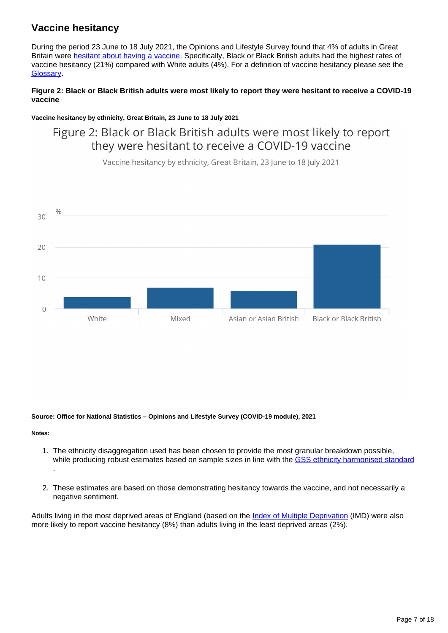## **Vaccine hesitancy**

During the period 23 June to 18 July 2021, the Opinions and Lifestyle Survey found that 4% of adults in Great Britain were **[hesitant about having a vaccine](https://www.ons.gov.uk/peoplepopulationandcommunity/healthandsocialcare/healthandwellbeing/bulletins/coronavirusandvaccinehesitancygreatbritain/9august2021)**. Specifically, Black or Black British adults had the highest rates of vaccine hesitancy (21%) compared with White adults (4%). For a definition of vaccine hesitancy please see the [Glossary.](https://www.ons.gov.uk/economy/environmentalaccounts/articles/leavingnoonebehindareviewofwhohasbeenmostaffectedbythecoronaviruspandemicintheuk/december2021#glossary)

### **Figure 2: Black or Black British adults were most likely to report they were hesitant to receive a COVID-19 vaccine**

**Vaccine hesitancy by ethnicity, Great Britain, 23 June to 18 July 2021**

## Figure 2: Black or Black British adults were most likely to report they were hesitant to receive a COVID-19 vaccine

Vaccine hesitancy by ethnicity, Great Britain, 23 June to 18 July 2021



#### **Source: Office for National Statistics – Opinions and Lifestyle Survey (COVID-19 module), 2021**

**Notes:**

- 1. The ethnicity disaggregation used has been chosen to provide the most granular breakdown possible, while producing robust estimates based on sample sizes in line with the [GSS ethnicity harmonised standard](https://gss.civilservice.gov.uk/policy-store/ethnicity-harmonised-standard/) .
- 2. These estimates are based on those demonstrating hesitancy towards the vaccine, and not necessarily a negative sentiment.

Adults living in the most deprived areas of England (based on the [Index of Multiple Deprivation](https://www.gov.uk/government/statistics/english-indices-of-deprivation-2019) (IMD) were also more likely to report vaccine hesitancy (8%) than adults living in the least deprived areas (2%).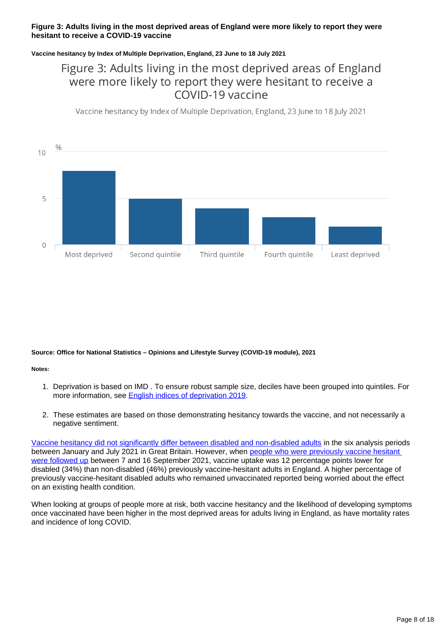### **Figure 3: Adults living in the most deprived areas of England were more likely to report they were hesitant to receive a COVID-19 vaccine**

### **Vaccine hesitancy by Index of Multiple Deprivation, England, 23 June to 18 July 2021**

## Figure 3: Adults living in the most deprived areas of England were more likely to report they were hesitant to receive a COVID-19 vaccine

Vaccine hesitancy by Index of Multiple Deprivation, England, 23 June to 18 July 2021



#### **Source: Office for National Statistics – Opinions and Lifestyle Survey (COVID-19 module), 2021**

#### **Notes:**

- 1. Deprivation is based on IMD . To ensure robust sample size, deciles have been grouped into quintiles. For more information, see [English indices of deprivation 2019.](https://www.gov.uk/government/statistics/english-indices-of-deprivation-2019)
- 2. These estimates are based on those demonstrating hesitancy towards the vaccine, and not necessarily a negative sentiment.

[Vaccine hesitancy did not significantly differ between disabled and non-disabled adults](https://www.ons.gov.uk/peoplepopulationandcommunity/healthandsocialcare/healthandwellbeing/datasets/coronavirusandvaccinehesitancygreatbritain) in the six analysis periods between January and July 2021 in Great Britain. However, when [people who were previously vaccine hesitant](https://www.ons.gov.uk/peoplepopulationandcommunity/healthandsocialcare/healthandwellbeing/bulletins/coronavirusandchangingattitudestowardsvaccinationengland/latest)  [were followed up](https://www.ons.gov.uk/peoplepopulationandcommunity/healthandsocialcare/healthandwellbeing/bulletins/coronavirusandchangingattitudestowardsvaccinationengland/latest) between 7 and 16 September 2021, vaccine uptake was 12 percentage points lower for disabled (34%) than non-disabled (46%) previously vaccine-hesitant adults in England. A higher percentage of previously vaccine-hesitant disabled adults who remained unvaccinated reported being worried about the effect on an existing health condition.

When looking at groups of people more at risk, both vaccine hesitancy and the likelihood of developing symptoms once vaccinated have been higher in the most deprived areas for adults living in England, as have mortality rates and incidence of long COVID.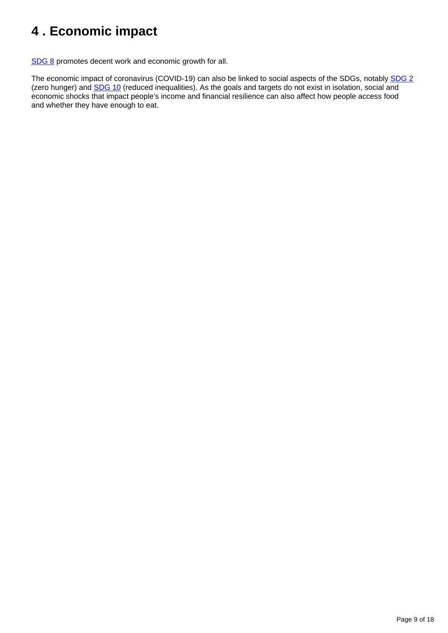## <span id="page-8-0"></span>**4 . Economic impact**

[SDG 8](https://sdgdata.gov.uk/8/) promotes decent work and economic growth for all.

The economic impact of coronavirus (COVID-19) can also be linked to social aspects of the SDGs, notably [SDG 2](https://sdgdata.gov.uk/2/) (zero hunger) and [SDG 10](https://sdgdata.gov.uk/10/) (reduced inequalities). As the goals and targets do not exist in isolation, social and economic shocks that impact people's income and financial resilience can also affect how people access food and whether they have enough to eat.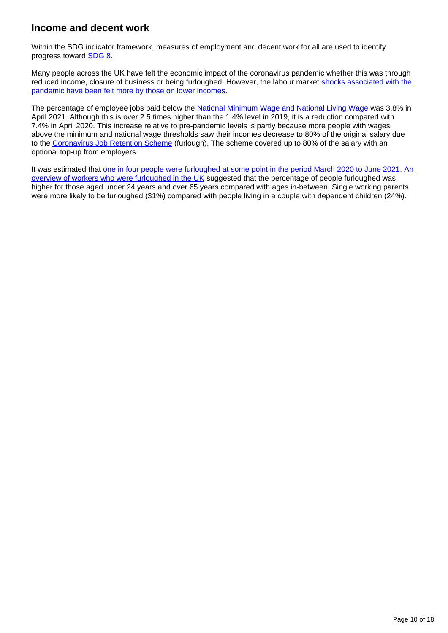## **Income and decent work**

Within the SDG indicator framework, measures of employment and decent work for all are used to identify progress toward [SDG 8](https://sdgdata.gov.uk/8/).

Many people across the UK have felt the economic impact of the coronavirus pandemic whether this was through reduced income, closure of business or being furloughed. However, the labour market [shocks associated with the](http://www.ons.gov.uk/peoplepopulationandcommunity/wellbeing/bulletins/personalandeconomicwellbeingintheuk/may2021)  [pandemic have been felt more by those on lower incomes.](http://www.ons.gov.uk/peoplepopulationandcommunity/wellbeing/bulletins/personalandeconomicwellbeingintheuk/may2021)

The percentage of employee jobs paid below the [National Minimum Wage and National Living Wage](https://www.ons.gov.uk/employmentandlabourmarket/peopleinwork/earningsandworkinghours/bulletins/lowandhighpayuk/2021#national-minimum-wage-and-national-living-wage) was 3.8% in April 2021. Although this is over 2.5 times higher than the 1.4% level in 2019, it is a reduction compared with 7.4% in April 2020. This increase relative to pre-pandemic levels is partly because more people with wages above the minimum and national wage thresholds saw their incomes decrease to 80% of the original salary due to the [Coronavirus Job Retention Scheme](https://www.gov.uk/government/publications/changes-to-the-coronavirus-job-retention-scheme/changes-to-the-coronavirus-job-retention-scheme) (furlough). The scheme covered up to 80% of the salary with an optional top-up from employers.

It was estimated that one in four people were furloughed at some point in the period March 2020 to June 2021. An [overview of workers who were furloughed in the UK](https://www.ons.gov.uk/employmentandlabourmarket/peopleinwork/employmentandemployeetypes/articles/anoverviewofworkerswhowerefurloughedintheuk/october2021#main-points) suggested that the percentage of people furloughed was higher for those aged under 24 years and over 65 years compared with ages in-between. Single working parents were more likely to be furloughed (31%) compared with people living in a couple with dependent children (24%).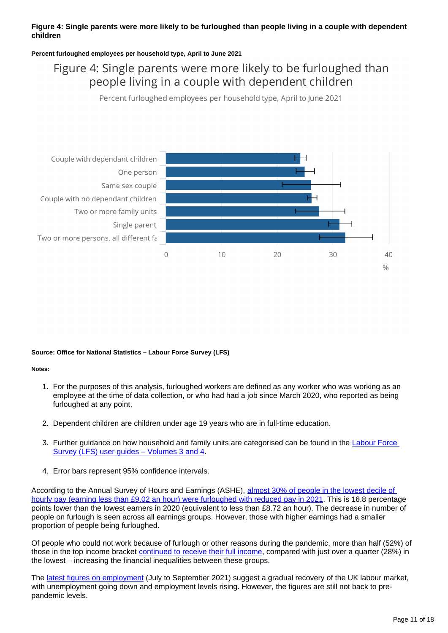### **Figure 4: Single parents were more likely to be furloughed than people living in a couple with dependent children**

### **Percent furloughed employees per household type, April to June 2021**

## Figure 4: Single parents were more likely to be furloughed than people living in a couple with dependent children

Percent furloughed employees per household type, April to June 2021



#### **Source: Office for National Statistics – Labour Force Survey (LFS)**

#### **Notes:**

- 1. For the purposes of this analysis, furloughed workers are defined as any worker who was working as an employee at the time of data collection, or who had had a job since March 2020, who reported as being furloughed at any point.
- 2. Dependent children are children under age 19 years who are in full-time education.
- 3. Further guidance on how household and family units are categorised can be found in the Labour Force [Survey \(LFS\) user guides – Volumes 3 and 4.](https://www.ons.gov.uk/employmentandlabourmarket/peopleinwork/employmentandemployeetypes/methodologies/labourforcesurveyuserguidance#labour-force-survey-lfs-user-guides)
- 4. Error bars represent 95% confidence intervals.

According to the Annual Survey of Hours and Earnings (ASHE), almost 30% of people in the lowest decile of [hourly pay \(earning less than £9.02 an hour\) were furloughed with reduced pay in 2021.](https://www.ons.gov.uk/employmentandlabourmarket/peopleinwork/earningsandworkinghours/bulletins/lowandhighpayuk/2021#who-are-the-people-most-impacted) This is 16.8 percentage points lower than the lowest earners in 2020 (equivalent to less than £8.72 an hour). The decrease in number of people on furlough is seen across all earnings groups. However, those with higher earnings had a smaller proportion of people being furloughed.

Of people who could not work because of furlough or other reasons during the pandemic, more than half (52%) of those in the top income bracket [continued to receive their full income](https://www.ons.gov.uk/peoplepopulationandcommunity/wellbeing/bulletins/personalandeconomicwellbeingintheuk/january2021#work-and-income), compared with just over a quarter (28%) in the lowest – increasing the financial inequalities between these groups.

The [latest figures on employment](https://www.ons.gov.uk/employmentandlabourmarket/peopleinwork/employmentandemployeetypes/bulletins/employmentintheuk/november2021) (July to September 2021) suggest a gradual recovery of the UK labour market, with unemployment going down and employment levels rising. However, the figures are still not back to prepandemic levels.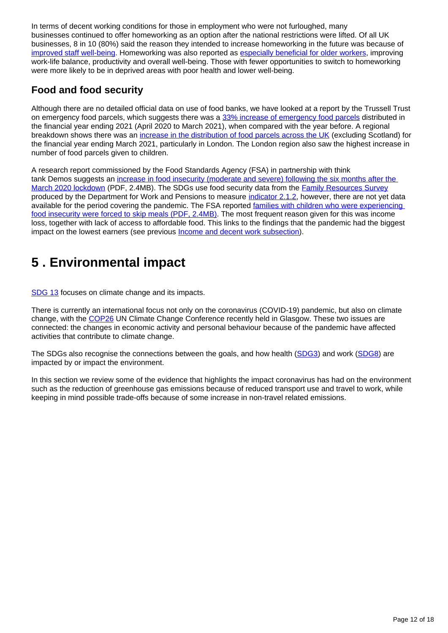In terms of decent working conditions for those in employment who were not furloughed, many businesses continued to offer homeworking as an option after the national restrictions were lifted. Of all UK businesses, 8 in 10 (80%) said the reason they intended to increase homeworking in the future was because of [improved staff well-being](https://www.ons.gov.uk/peoplepopulationandcommunity/healthandsocialcare/conditionsanddiseases/articles/coronaviruscovid19latestinsights/work#homeworking). Homeworking was also reported as [especially beneficial for older workers,](https://www.ons.gov.uk/releases/livinglongerimpactofworkingfromhomeonolderworkers) improving work-life balance, productivity and overall well-being. Those with fewer opportunities to switch to homeworking were more likely to be in deprived areas with poor health and lower well-being.

## **Food and food security**

Although there are no detailed official data on use of food banks, we have looked at a report by the Trussell Trust on emergency food parcels, which suggests there was a [33% increase of emergency food parcels](https://www.trusselltrust.org/news-and-blog/latest-stats/end-year-stats/) distributed in the financial year ending 2021 (April 2020 to March 2021), when compared with the year before. A regional breakdown shows there was an [increase in the distribution of food parcels across the UK](https://www.trusselltrust.org/news-and-blog/latest-stats/end-year-stats/#total) (excluding Scotland) for the financial year ending March 2021, particularly in London. The London region also saw the highest increase in number of food parcels given to children.

A research report commissioned by the Food Standards Agency (FSA) in partnership with think tank Demos suggests an [increase in food insecurity \(moderate and severe\) following the six months after the](https://www.food.gov.uk/sites/default/files/media/document/fsa-food-in-a-pandemic-march-2021.pdf)  [March 2020 lockdown](https://www.food.gov.uk/sites/default/files/media/document/fsa-food-in-a-pandemic-march-2021.pdf) (PDF, 2.4MB). The SDGs use food security data from the [Family Resources Survey](https://www.gov.uk/government/collections/family-resources-survey--2) produced by the Department for Work and Pensions to measure [indicator 2.1.2,](https://sdgdata.gov.uk/2-1-2/) however, there are not yet data available for the period covering the pandemic. The FSA reported families with children who were experiencing [food insecurity were forced to skip meals \(PDF, 2.4MB\)](https://www.food.gov.uk/sites/default/files/media/document/fsa-food-in-a-pandemic-march-2021.pdf). The most frequent reason given for this was income loss, together with lack of access to affordable food. This links to the findings that the pandemic had the biggest impact on the lowest earners (see previous **Income and decent work subsection**).

## <span id="page-11-0"></span>**5 . Environmental impact**

[SDG 13](https://sdgdata.gov.uk/13/) focuses on climate change and its impacts.

There is currently an international focus not only on the coronavirus (COVID-19) pandemic, but also on climate change, with the [COP26](https://ukcop26.org/) UN Climate Change Conference recently held in Glasgow. These two issues are connected: the changes in economic activity and personal behaviour because of the pandemic have affected activities that contribute to climate change.

The SDGs also recognise the connections between the goals, and how health ([SDG3](https://sdgdata.gov.uk/3/)) and work ([SDG8](https://sdgdata.gov.uk/8/)) are impacted by or impact the environment.

In this section we review some of the evidence that highlights the impact coronavirus has had on the environment such as the reduction of greenhouse gas emissions because of reduced transport use and travel to work, while keeping in mind possible trade-offs because of some increase in non-travel related emissions.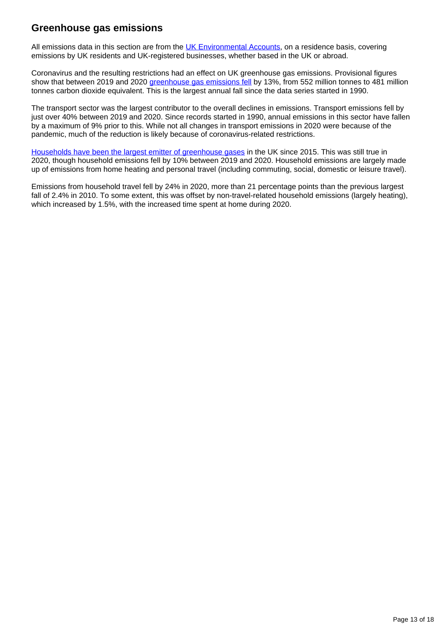### **Greenhouse gas emissions**

All emissions data in this section are from the [UK Environmental Accounts](https://www.ons.gov.uk/economy/environmentalaccounts/bulletins/ukenvironmentalaccounts/2021), on a residence basis, covering emissions by UK residents and UK-registered businesses, whether based in the UK or abroad.

Coronavirus and the resulting restrictions had an effect on UK greenhouse gas emissions. Provisional figures show that between 2019 and 2020 [greenhouse gas emissions fell](https://www.ons.gov.uk/economy/environmentalaccounts/bulletins/greenhousegasintensityprovisionalestimatesuk/2020provisionalestimates) by 13%, from 552 million tonnes to 481 million tonnes carbon dioxide equivalent. This is the largest annual fall since the data series started in 1990.

The transport sector was the largest contributor to the overall declines in emissions. Transport emissions fell by just over 40% between 2019 and 2020. Since records started in 1990, annual emissions in this sector have fallen by a maximum of 9% prior to this. While not all changes in transport emissions in 2020 were because of the pandemic, much of the reduction is likely because of coronavirus-related restrictions.

[Households have been the largest emitter of greenhouse gases](https://www.ons.gov.uk/economy/environmentalaccounts/articles/covid19restrictionscuthouseholdemissions/2021-09-21) in the UK since 2015. This was still true in 2020, though household emissions fell by 10% between 2019 and 2020. Household emissions are largely made up of emissions from home heating and personal travel (including commuting, social, domestic or leisure travel).

Emissions from household travel fell by 24% in 2020, more than 21 percentage points than the previous largest fall of 2.4% in 2010. To some extent, this was offset by non-travel-related household emissions (largely heating), which increased by 1.5%, with the increased time spent at home during 2020.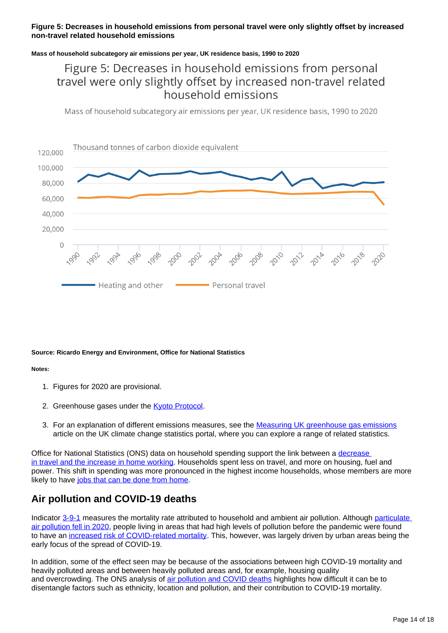### **Figure 5: Decreases in household emissions from personal travel were only slightly offset by increased non-travel related household emissions**

### **Mass of household subcategory air emissions per year, UK residence basis, 1990 to 2020**

## Figure 5: Decreases in household emissions from personal travel were only slightly offset by increased non-travel related household emissions

Mass of household subcategory air emissions per year, UK residence basis, 1990 to 2020



#### **Source: Ricardo Energy and Environment, Office for National Statistics**

#### **Notes:**

- 1. Figures for 2020 are provisional.
- 2. Greenhouse gases under the **Kyoto Protocol**.
- 3. For an explanation of different emissions measures, see the [Measuring UK greenhouse gas emissions](https://climate-change.data.gov.uk/articles/measuring-greenhouse-gas-emissions) article on the UK climate change statistics portal, where you can explore a range of related statistics.

Office for National Statistics (ONS) data on household spending support the link between a [decrease](https://www.ons.gov.uk/releases/coronavirusandtheimpactonhouseholdfinancesandlivingstandards)  [in travel and the increase in home working.](https://www.ons.gov.uk/releases/coronavirusandtheimpactonhouseholdfinancesandlivingstandards) Households spent less on travel, and more on housing, fuel and power. This shift in spending was more pronounced in the highest income households, whose members are more likely to have [jobs that can be done from home](https://www.ons.gov.uk/peoplepopulationandcommunity/personalandhouseholdfinances/incomeandwealth/bulletins/theeffectsoftaxesandbenefitsonhouseholdincome/financialyearending2019#household-income-by-occupation-and-propensity-for-homeworking).

### **Air pollution and COVID-19 deaths**

Indicator [3-9-1](https://sdgdata.gov.uk/3-9-1/) measures the mortality rate attributed to household and ambient air pollution. Although particulate [air pollution fell in 2020,](https://www.ons.gov.uk/economy/environmentalaccounts/articles/covid19restrictionscuthouseholdemissions/2021-09-21) people living in areas that had high levels of pollution before the pandemic were found to have an [increased risk of COVID-related mortality](https://www.ons.gov.uk/economy/environmentalaccounts/articles/doesexposuretoairpollutionincreasetheriskofdyingfromthecoronaviruscovid19/2020-08-13). This, however, was largely driven by urban areas being the early focus of the spread of COVID-19.

In addition, some of the effect seen may be because of the associations between high COVID-19 mortality and heavily polluted areas and between heavily polluted areas and, for example, housing quality and overcrowding. The ONS analysis of [air pollution and COVID deaths](https://www.ons.gov.uk/economy/environmentalaccounts/articles/doesexposuretoairpollutionincreasetheriskofdyingfromthecoronaviruscovid19/2020-08-13) highlights how difficult it can be to disentangle factors such as ethnicity, location and pollution, and their contribution to COVID-19 mortality.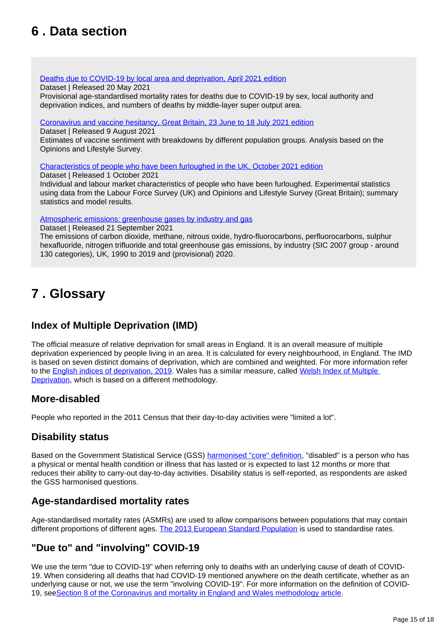## <span id="page-14-0"></span>**6 . Data section**

### [Deaths due to COVID-19 by local area and deprivation, April 2021 edition](https://www.ons.gov.uk/peoplepopulationandcommunity/birthsdeathsandmarriages/deaths/datasets/deathsduetocovid19bylocalareaanddeprivation)

Dataset | Released 20 May 2021

Provisional age-standardised mortality rates for deaths due to COVID-19 by sex, local authority and deprivation indices, and numbers of deaths by middle-layer super output area.

[Coronavirus and vaccine hesitancy, Great Britain, 23 June to 18 July 2021 edition](https://www.ons.gov.uk/peoplepopulationandcommunity/healthandsocialcare/healthandwellbeing/datasets/coronavirusandvaccinehesitancygreatbritain)

Dataset | Released 9 August 2021

Estimates of vaccine sentiment with breakdowns by different population groups. Analysis based on the Opinions and Lifestyle Survey.

[Characteristics of people who have been furloughed in the UK, October 2021 edition](https://www.ons.gov.uk/employmentandlabourmarket/peopleinwork/employmentandemployeetypes/datasets/characteristicsofpeoplewhohavebeenfurloughedintheuk)

Dataset | Released 1 October 2021

Individual and labour market characteristics of people who have been furloughed. Experimental statistics using data from the Labour Force Survey (UK) and Opinions and Lifestyle Survey (Great Britain); summary statistics and model results.

[Atmospheric emissions: greenhouse gases by industry and gas](https://www.ons.gov.uk/economy/environmentalaccounts/datasets/ukenvironmentalaccountsatmosphericemissionsgreenhousegasemissionsbyeconomicsectorandgasunitedkingdom)

Dataset | Released 21 September 2021

The emissions of carbon dioxide, methane, nitrous oxide, hydro-fluorocarbons, perfluorocarbons, sulphur hexafluoride, nitrogen trifluoride and total greenhouse gas emissions, by industry (SIC 2007 group - around 130 categories), UK, 1990 to 2019 and (provisional) 2020.

## <span id="page-14-1"></span>**7 . Glossary**

## **Index of Multiple Deprivation (IMD)**

The official measure of relative deprivation for small areas in England. It is an overall measure of multiple deprivation experienced by people living in an area. It is calculated for every neighbourhood, in England. The IMD is based on seven distinct domains of deprivation, which are combined and weighted. For more information refer to the **[English indices of deprivation, 2019](https://www.gov.uk/government/statistics/english-indices-of-deprivation-2019).** Wales has a similar measure, called Welsh Index of Multiple [Deprivation,](https://gov.wales/welsh-index-multiple-deprivation-index-guidance) which is based on a different methodology.

### **More-disabled**

People who reported in the 2011 Census that their day-to-day activities were "limited a lot".

### **Disability status**

Based on the Government Statistical Service (GSS) [harmonised "core" definition](https://gss.civilservice.gov.uk/policy-store/measuring-disability-for-the-equality-act-2010/), "disabled" is a person who has a physical or mental health condition or illness that has lasted or is expected to last 12 months or more that reduces their ability to carry-out day-to-day activities. Disability status is self-reported, as respondents are asked the GSS harmonised questions.

## **Age-standardised mortality rates**

Age-standardised mortality rates (ASMRs) are used to allow comparisons between populations that may contain different proportions of different ages. [The 2013 European Standard Population](https://webarchive.nationalarchives.gov.uk/ukgwa/20160106020035/http:/www.ons.gov.uk/ons/guide-method/user-guidance/health-and-life-events/revised-european-standard-population-2013--2013-esp-/index.html) is used to standardise rates.

## **"Due to" and "involving" COVID-19**

We use the term "due to COVID-19" when referring only to deaths with an underlying cause of death of COVID-19. When considering all deaths that had COVID-19 mentioned anywhere on the death certificate, whether as an underlying cause or not, we use the term "involving COVID-19". For more information on the definition of COVID-19, see[Section 8 of the Coronavirus and mortality in England and Wales methodology article.](https://www.ons.gov.uk/peoplepopulationandcommunity/birthsdeathsandmarriages/deaths/methodologies/coronavirusandmortalityinenglandandwalesmethodology#international-classification-of-diseases-codes-for-covid-19)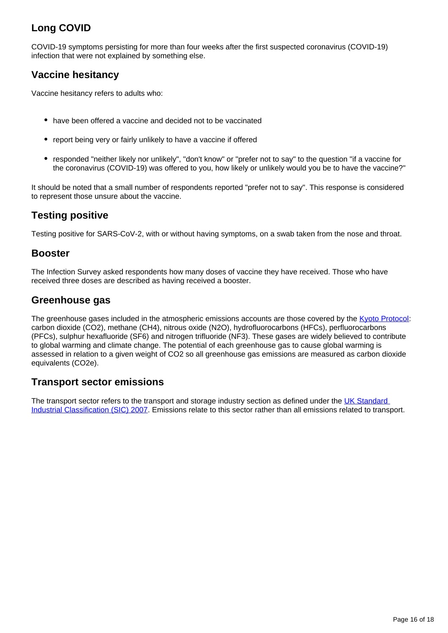## **Long COVID**

COVID-19 symptoms persisting for more than four weeks after the first suspected coronavirus (COVID-19) infection that were not explained by something else.

## **Vaccine hesitancy**

Vaccine hesitancy refers to adults who:

- have been offered a vaccine and decided not to be vaccinated
- report being very or fairly unlikely to have a vaccine if offered
- responded "neither likely nor unlikely", "don't know" or "prefer not to say" to the question "if a vaccine for the coronavirus (COVID-19) was offered to you, how likely or unlikely would you be to have the vaccine?"

It should be noted that a small number of respondents reported "prefer not to say". This response is considered to represent those unsure about the vaccine.

## **Testing positive**

Testing positive for SARS-CoV-2, with or without having symptoms, on a swab taken from the nose and throat.

### **Booster**

The Infection Survey asked respondents how many doses of vaccine they have received. Those who have received three doses are described as having received a booster.

### **Greenhouse gas**

The greenhouse gases included in the atmospheric emissions accounts are those covered by the [Kyoto Protocol:](https://naei.beis.gov.uk/overview/ghg-overview) carbon dioxide (CO2), methane (CH4), nitrous oxide (N2O), hydrofluorocarbons (HFCs), perfluorocarbons (PFCs), sulphur hexafluoride (SF6) and nitrogen trifluoride (NF3). These gases are widely believed to contribute to global warming and climate change. The potential of each greenhouse gas to cause global warming is assessed in relation to a given weight of CO2 so all greenhouse gas emissions are measured as carbon dioxide equivalents (CO2e).

### **Transport sector emissions**

The transport sector refers to the transport and storage industry section as defined under the UK Standard [Industrial Classification \(SIC\) 2007.](https://www.ons.gov.uk/methodology/classificationsandstandards/ukstandardindustrialclassificationofeconomicactivities/uksic2007) Emissions relate to this sector rather than all emissions related to transport.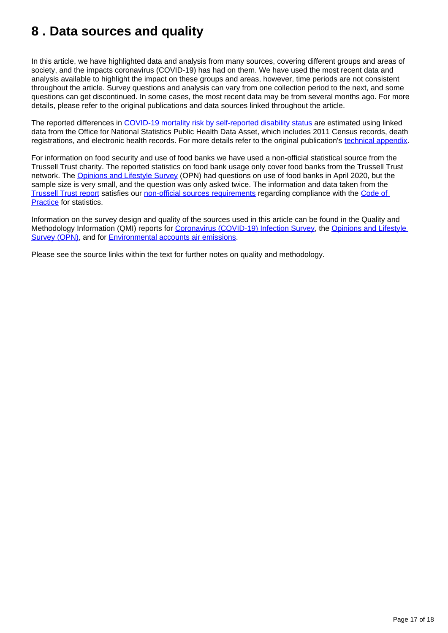## <span id="page-16-0"></span>**8 . Data sources and quality**

In this article, we have highlighted data and analysis from many sources, covering different groups and areas of society, and the impacts coronavirus (COVID-19) has had on them. We have used the most recent data and analysis available to highlight the impact on these groups and areas, however, time periods are not consistent throughout the article. Survey questions and analysis can vary from one collection period to the next, and some questions can get discontinued. In some cases, the most recent data may be from several months ago. For more details, please refer to the original publications and data sources linked throughout the article.

The reported differences in [COVID-19 mortality risk by self-reported disability status](https://www.ons.gov.uk/peoplepopulationandcommunity/birthsdeathsandmarriages/deaths/articles/coronaviruscovid19relateddeathsbydisabilitystatusenglandandwales/24januaryto20november2020) are estimated using linked data from the Office for National Statistics Public Health Data Asset, which includes 2011 Census records, death registrations, and electronic health records. For more details refer to the original publication's [technical appendix](https://www.ons.gov.uk/peoplepopulationandcommunity/birthsdeathsandmarriages/deaths/methodologies/coronaviruscovid19relateddeathsbydisabilitystatusenglandmethodology).

For information on food security and use of food banks we have used a non-official statistical source from the Trussell Trust charity. The reported statistics on food bank usage only cover food banks from the Trussell Trust network. The [Opinions and Lifestyle Survey](https://www.ons.gov.uk/peoplepopulationandcommunity/healthandsocialcare/healthandwellbeing/datasets/coronavirusandthesocialimpactsongreatbritaindata/current) (OPN) had questions on use of food banks in April 2020, but the sample size is very small, and the question was only asked twice. The information and data taken from the [Trussell Trust report](https://www.trusselltrust.org/wp-content/uploads/sites/2/2021/04/Trusell-Trust-End-of-Year-stats-data-briefing_2020_21.pdf) satisfies our [non-official sources requirements](https://www.ons.gov.uk/economy/environmentalaccounts/methodologies/uksustainabledevelopmentgoalsuseofnonofficialsources) regarding compliance with the Code of [Practice](https://code.statisticsauthority.gov.uk/the-code/) for statistics.

Information on the survey design and quality of the sources used in this article can be found in the Quality and Methodology Information (QMI) reports for [Coronavirus \(COVID-19\) Infection Survey](https://www.ons.gov.uk/peoplepopulationandcommunity/healthandsocialcare/conditionsanddiseases/methodologies/coronaviruscovid19infectionsurveyqmi), the Opinions and Lifestyle [Survey \(OPN\),](https://www.ons.gov.uk/peoplepopulationandcommunity/healthandsocialcare/healthandlifeexpectancies/methodologies/opinionsandlifestylesurveyqmi) and for [Environmental accounts air emissions.](https://www.ons.gov.uk/economy/environmentalaccounts/methodologies/environmentalaccountsonairemissionsqmi)

Please see the source links within the text for further notes on quality and methodology.